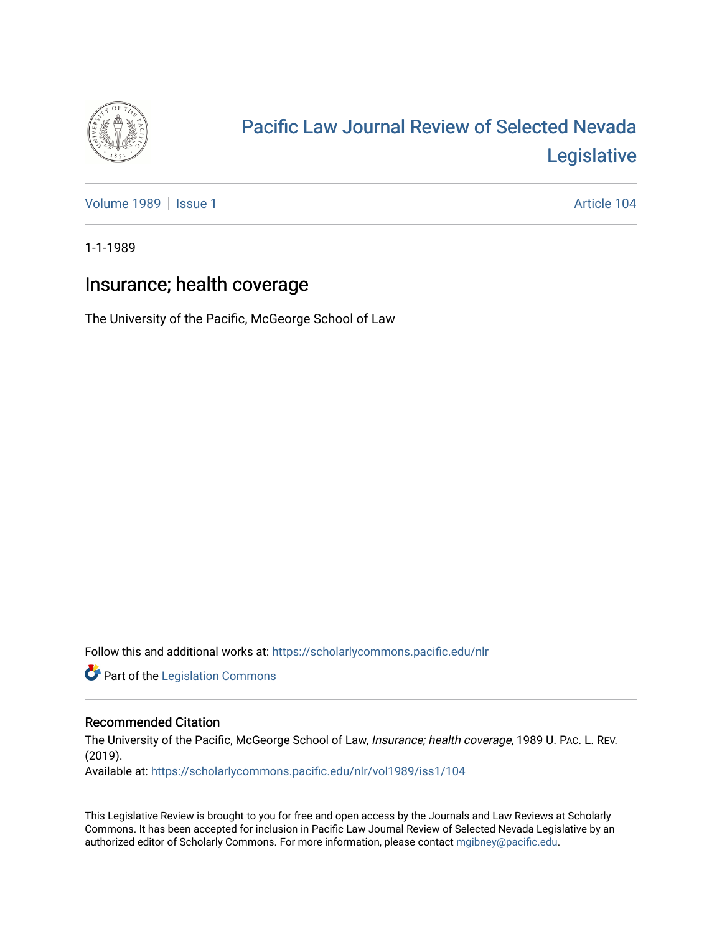

## [Pacific Law Journal Review of Selected Nevada](https://scholarlycommons.pacific.edu/nlr)  [Legislative](https://scholarlycommons.pacific.edu/nlr)

[Volume 1989](https://scholarlycommons.pacific.edu/nlr/vol1989) | [Issue 1](https://scholarlycommons.pacific.edu/nlr/vol1989/iss1) Article 104

1-1-1989

## Insurance; health coverage

The University of the Pacific, McGeorge School of Law

Follow this and additional works at: [https://scholarlycommons.pacific.edu/nlr](https://scholarlycommons.pacific.edu/nlr?utm_source=scholarlycommons.pacific.edu%2Fnlr%2Fvol1989%2Fiss1%2F104&utm_medium=PDF&utm_campaign=PDFCoverPages) 

**Part of the [Legislation Commons](http://network.bepress.com/hgg/discipline/859?utm_source=scholarlycommons.pacific.edu%2Fnlr%2Fvol1989%2Fiss1%2F104&utm_medium=PDF&utm_campaign=PDFCoverPages)** 

## Recommended Citation

The University of the Pacific, McGeorge School of Law, *Insurance; health coverage*, 1989 U. PAC. L. REV. (2019).

Available at: [https://scholarlycommons.pacific.edu/nlr/vol1989/iss1/104](https://scholarlycommons.pacific.edu/nlr/vol1989/iss1/104?utm_source=scholarlycommons.pacific.edu%2Fnlr%2Fvol1989%2Fiss1%2F104&utm_medium=PDF&utm_campaign=PDFCoverPages) 

This Legislative Review is brought to you for free and open access by the Journals and Law Reviews at Scholarly Commons. It has been accepted for inclusion in Pacific Law Journal Review of Selected Nevada Legislative by an authorized editor of Scholarly Commons. For more information, please contact [mgibney@pacific.edu](mailto:mgibney@pacific.edu).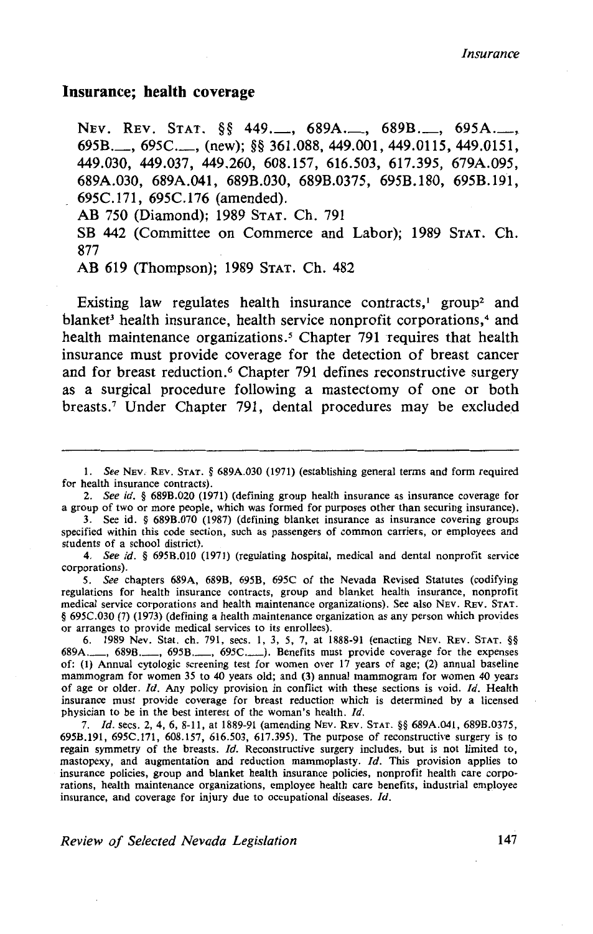## **Insurance; health coverage**

NEV. REV. STAT. §§ 449..., 689A..., 689B..., 695A...., 695B.\_, 695C.\_, (new); §§ 361.088, 449.001, 449.0115, 449.0151, 449.030, 449.037, 449.260, 608.157, 616.503, 617.395, 679A.095, 689A.030, 689A.041, 689B.030, 689B.0375, 695B.180, 695B.191, 695C.171, 695C.176 (amended).

AB 750 (Diamond); 1989 STAT. Ch. 791

SB 442 (Committee on Commerce and Labor); 1989 STAT. Ch. 877

AB 619 (Thompson); 1989 STAT. Ch. 482

Existing law regulates health insurance contracts,  $1 \text{ group}^2$  and blanket<sup>3</sup> health insurance, health service nonprofit corporations,<sup>4</sup> and health maintenance organizations.<sup>5</sup> Chapter 791 requires that health insurance must provide coverage for the detection of breast cancer and for breast reduction.<sup>6</sup> Chapter 791 defines reconstructive surgery as a surgical procedure following a mastectomy of one or both breasts.<sup>7</sup> Under Chapter 791, dental procedures may be excluded

4. *See id.* § 695B.Ol0 (1971) (regulating hospital, medical and dental nonprofit service corporations).

5. *See* chapters 689A, 689B, 695B, 695C of the Nevada Revised Statutes (codifying regulations for health insurance contracts, group and blanket health insurance, nonprofit medical service corporations and health maintenance organizations). See also NEv. REv. STAT. § 695C.030 (7) (1973) (defining a health maintenance organization as any person which provides or arranges to provide medical services to its enrollees).

6. 1989 Nev. Stat. ch. 791, sees. I, 3, 5, 7, at 1888-91 (enacting NEV. REv. STAT. §§ 689A..., 689B..., 695B..., 695C...,). Benefits must provide coverage for the expenses of: (I) Annual cytologic screening test for women over 17 years of age; (2) annual baseline mammogram for women 35 to 40 years old; and (3) annual mammogram for women 40 years of age or older. Id. Any policy provision in conflict with these sections is void. Id. Health insurance must provide coverage for breast reduction which is determined by a licensed physician to be in the best interest of the woman's health. */d.* 

7. /d. sees. 2, 4, 6, 8-11, at 1889-91 (amending NEV. REv. STAT. §§ 689A.041, 689B.0375, 695B.I91, 695C.I71, 608.157, 616.503, 617.395). The purpose of reconstructive surgery is to regain symmetry of the breasts. Id. Reconstructive surgery includes, but is not limited to, mastopexy, and augmentation and reduction mammoplasty. *Id.* This provision applies to insurance policies, group and blanket health insurance policies, nonprofit health care corporations, health maintenance organizations, employee health care benefits, industrial employee insurance, and coverage for injury due to occupational diseases. Id.

*Review of Selected Nevada Legislation* 147

<sup>1.</sup> *See* NEv. REv. STAT. § 689A.030 (1971) (establishing general terms and form required for health insurance contracts).

<sup>2.</sup> *See id.* § 689B.020 (1971) (defining group health insurance as insurance coverage for a group of two or more people, which was formed for purposes other than securing insurance).

<sup>3.</sup> See id. § 689B.070 (1987) (defining blanket insurance as insurance covering groups specified within this code section, such as passengers of common carriers, or employees and students of a school district).